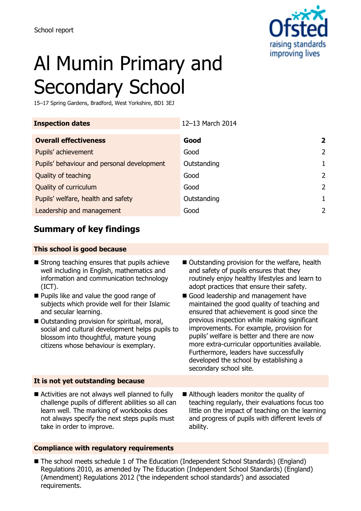

# Al Mumin Primary and Secondary School

15–17 Spring Gardens, Bradford, West Yorkshire, BD1 3EJ

| <b>Inspection dates</b>                    | 12-13 March 2014 |   |
|--------------------------------------------|------------------|---|
| <b>Overall effectiveness</b>               | Good             | 2 |
| Pupils' achievement                        | Good             | 2 |
| Pupils' behaviour and personal development | Outstanding      |   |
| Quality of teaching                        | Good             | 2 |
| Quality of curriculum                      | Good             | 2 |
| Pupils' welfare, health and safety         | Outstanding      |   |
| Leadership and management                  | Good             |   |
|                                            |                  |   |

# **Summary of key findings**

#### **This school is good because**

- $\blacksquare$  Strong teaching ensures that pupils achieve well including in English, mathematics and information and communication technology (ICT).
- **Pupils like and value the good range of** subjects which provide well for their Islamic and secular learning.
- Outstanding provision for spiritual, moral, social and cultural development helps pupils to blossom into thoughtful, mature young citizens whose behaviour is exemplary.
- Outstanding provision for the welfare, health and safety of pupils ensures that they routinely enjoy healthy lifestyles and learn to adopt practices that ensure their safety.
- Good leadership and management have maintained the good quality of teaching and ensured that achievement is good since the previous inspection while making significant improvements. For example, provision for pupils' welfare is better and there are now more extra-curricular opportunities available. Furthermore, leaders have successfully developed the school by establishing a secondary school site.

#### **It is not yet outstanding because**

- Activities are not always well planned to fully challenge pupils of different abilities so all can learn well. The marking of workbooks does not always specify the next steps pupils must take in order to improve.
- Although leaders monitor the quality of teaching regularly, their evaluations focus too little on the impact of teaching on the learning and progress of pupils with different levels of ability.

#### **Compliance with regulatory requirements**

■ The school meets schedule 1 of The Education (Independent School Standards) (England) Regulations 2010, as amended by The Education (Independent School Standards) (England) (Amendment) Regulations 2012 ('the independent school standards') and associated requirements.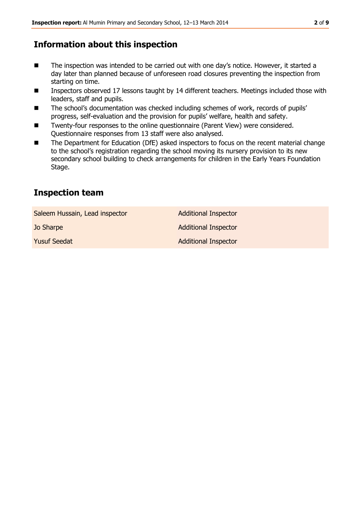# **Information about this inspection**

- The inspection was intended to be carried out with one day's notice. However, it started a day later than planned because of unforeseen road closures preventing the inspection from starting on time.
- Inspectors observed 17 lessons taught by 14 different teachers. Meetings included those with leaders, staff and pupils.
- The school's documentation was checked including schemes of work, records of pupils' progress, self-evaluation and the provision for pupils' welfare, health and safety.
- Twenty-four responses to the online questionnaire (Parent View) were considered. Questionnaire responses from 13 staff were also analysed.
- The Department for Education (DfE) asked inspectors to focus on the recent material change to the school's registration regarding the school moving its nursery provision to its new secondary school building to check arrangements for children in the Early Years Foundation Stage.

# **Inspection team**

Saleem Hussain, Lead inspector **Additional Inspector** 

**Jo Sharpe Additional Inspector** Additional Inspector

**Yusuf Seedat Additional Inspector**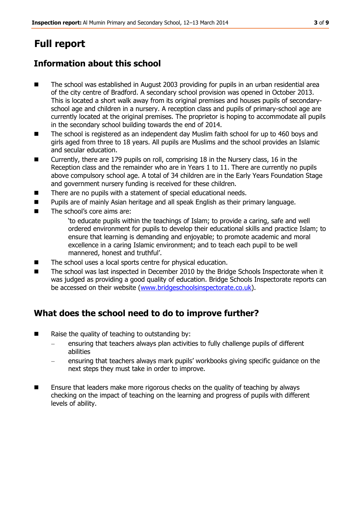# **Full report**

# **Information about this school**

- The school was established in August 2003 providing for pupils in an urban residential area of the city centre of Bradford. A secondary school provision was opened in October 2013. This is located a short walk away from its original premises and houses pupils of secondaryschool age and children in a nursery. A reception class and pupils of primary-school age are currently located at the original premises. The proprietor is hoping to accommodate all pupils in the secondary school building towards the end of 2014.
- The school is registered as an independent day Muslim faith school for up to 460 boys and girls aged from three to 18 years. All pupils are Muslims and the school provides an Islamic and secular education.
- Currently, there are 179 pupils on roll, comprising 18 in the Nursery class, 16 in the Reception class and the remainder who are in Years 1 to 11. There are currently no pupils above compulsory school age. A total of 34 children are in the Early Years Foundation Stage and government nursery funding is received for these children.
- There are no pupils with a statement of special educational needs.
- Pupils are of mainly Asian heritage and all speak English as their primary language.
- The school's core aims are:
	- 'to educate pupils within the teachings of Islam; to provide a caring, safe and well ordered environment for pupils to develop their educational skills and practice Islam; to ensure that learning is demanding and enjoyable; to promote academic and moral excellence in a caring Islamic environment; and to teach each pupil to be well mannered, honest and truthful'.
- The school uses a local sports centre for physical education.
- The school was last inspected in December 2010 by the Bridge Schools Inspectorate when it was judged as providing a good quality of education. Bridge Schools Inspectorate reports can be accessed on their website [\(www.bridgeschoolsinspectorate.co.uk\)](http://www.bridgeschoolsinspectorate.co.uk/).

# **What does the school need to do to improve further?**

- $\blacksquare$  Raise the quality of teaching to outstanding by:
	- ensuring that teachers always plan activities to fully challenge pupils of different abilities
	- ensuring that teachers always mark pupils' workbooks giving specific guidance on the next steps they must take in order to improve.
- **Ensure that leaders make more rigorous checks on the quality of teaching by always** checking on the impact of teaching on the learning and progress of pupils with different levels of ability.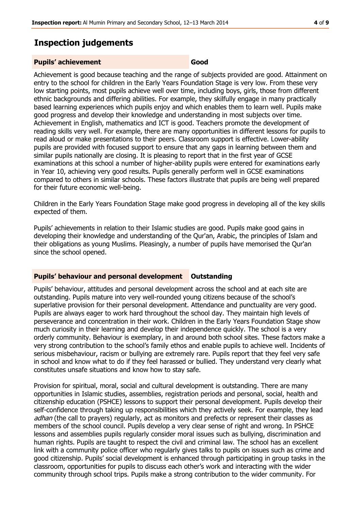### **Inspection judgements**

#### **Pupils' achievement Good**

Achievement is good because teaching and the range of subjects provided are good. Attainment on entry to the school for children in the Early Years Foundation Stage is very low. From these very low starting points, most pupils achieve well over time, including boys, girls, those from different ethnic backgrounds and differing abilities. For example, they skilfully engage in many practically based learning experiences which pupils enjoy and which enables them to learn well. Pupils make good progress and develop their knowledge and understanding in most subjects over time. Achievement in English, mathematics and ICT is good. Teachers promote the development of reading skills very well. For example, there are many opportunities in different lessons for pupils to read aloud or make presentations to their peers. Classroom support is effective. Lower-ability pupils are provided with focused support to ensure that any gaps in learning between them and similar pupils nationally are closing. It is pleasing to report that in the first year of GCSE examinations at this school a number of higher-ability pupils were entered for examinations early in Year 10, achieving very good results. Pupils generally perform well in GCSE examinations compared to others in similar schools. These factors illustrate that pupils are being well prepared for their future economic well-being.

Children in the Early Years Foundation Stage make good progress in developing all of the key skills expected of them.

Pupils' achievements in relation to their Islamic studies are good. Pupils make good gains in developing their knowledge and understanding of the Qur'an, Arabic, the principles of Islam and their obligations as young Muslims. Pleasingly, a number of pupils have memorised the Qur'an since the school opened.

#### **Pupils' behaviour and personal development Outstanding**

Pupils' behaviour, attitudes and personal development across the school and at each site are outstanding. Pupils mature into very well-rounded young citizens because of the school's superlative provision for their personal development. Attendance and punctuality are very good. Pupils are always eager to work hard throughout the school day. They maintain high levels of perseverance and concentration in their work. Children in the Early Years Foundation Stage show much curiosity in their learning and develop their independence quickly. The school is a very orderly community. Behaviour is exemplary, in and around both school sites. These factors make a very strong contribution to the school's family ethos and enable pupils to achieve well. Incidents of serious misbehaviour, racism or bullying are extremely rare. Pupils report that they feel very safe in school and know what to do if they feel harassed or bullied. They understand very clearly what constitutes unsafe situations and know how to stay safe.

Provision for spiritual, moral, social and cultural development is outstanding. There are many opportunities in Islamic studies, assemblies, registration periods and personal, social, health and citizenship education (PSHCE) lessons to support their personal development. Pupils develop their self-confidence through taking up responsibilities which they actively seek. For example, they lead adhan (the call to prayers) regularly, act as monitors and prefects or represent their classes as members of the school council. Pupils develop a very clear sense of right and wrong. In PSHCE lessons and assemblies pupils regularly consider moral issues such as bullying, discrimination and human rights. Pupils are taught to respect the civil and criminal law. The school has an excellent link with a community police officer who regularly gives talks to pupils on issues such as crime and good citizenship. Pupils' social development is enhanced through participating in group tasks in the classroom, opportunities for pupils to discuss each other's work and interacting with the wider community through school trips. Pupils make a strong contribution to the wider community. For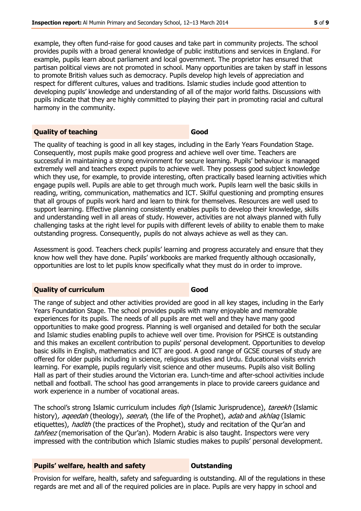example, they often fund-raise for good causes and take part in community projects. The school provides pupils with a broad general knowledge of public institutions and services in England. For example, pupils learn about parliament and local government. The proprietor has ensured that partisan political views are not promoted in school. Many opportunities are taken by staff in lessons to promote British values such as democracy. Pupils develop high levels of appreciation and respect for different cultures, values and traditions. Islamic studies include good attention to developing pupils' knowledge and understanding of all of the major world faiths. Discussions with pupils indicate that they are highly committed to playing their part in promoting racial and cultural harmony in the community.

#### **Quality of teaching Good**

The quality of teaching is good in all key stages, including in the Early Years Foundation Stage. Consequently, most pupils make good progress and achieve well over time. Teachers are successful in maintaining a strong environment for secure learning. Pupils' behaviour is managed extremely well and teachers expect pupils to achieve well. They possess good subject knowledge which they use, for example, to provide interesting, often practically based learning activities which engage pupils well. Pupils are able to get through much work. Pupils learn well the basic skills in reading, writing, communication, mathematics and ICT. Skilful questioning and prompting ensures that all groups of pupils work hard and learn to think for themselves. Resources are well used to support learning. Effective planning consistently enables pupils to develop their knowledge, skills and understanding well in all areas of study. However, activities are not always planned with fully challenging tasks at the right level for pupils with different levels of ability to enable them to make outstanding progress. Consequently, pupils do not always achieve as well as they can.

Assessment is good. Teachers check pupils' learning and progress accurately and ensure that they know how well they have done. Pupils' workbooks are marked frequently although occasionally, opportunities are lost to let pupils know specifically what they must do in order to improve.

#### **Quality of curriculum Good**

The range of subject and other activities provided are good in all key stages, including in the Early Years Foundation Stage. The school provides pupils with many enjoyable and memorable experiences for its pupils. The needs of all pupils are met well and they have many good opportunities to make good progress. Planning is well organised and detailed for both the secular and Islamic studies enabling pupils to achieve well over time. Provision for PSHCE is outstanding and this makes an excellent contribution to pupils' personal development. Opportunities to develop basic skills in English, mathematics and ICT are good. A good range of GCSE courses of study are offered for older pupils including in science, religious studies and Urdu. Educational visits enrich learning. For example, pupils regularly visit science and other museums. Pupils also visit Bolling Hall as part of their studies around the Victorian era. Lunch-time and after-school activities include netball and football. The school has good arrangements in place to provide careers guidance and work experience in a number of vocational areas.

The school's strong Islamic curriculum includes figh (Islamic Jurisprudence), tareekh (Islamic history), ageedah (theology), seerah, (the life of the Prophet), adab and akhlag (Islamic etiquettes), *hadith* (the practices of the Prophet), study and recitation of the Qur'an and tahfeez (memorisation of the Our'an). Modern Arabic is also taught. Inspectors were very impressed with the contribution which Islamic studies makes to pupils' personal development.

#### **Pupils' welfare, health and safety <b>COU** Dutstanding

Provision for welfare, health, safety and safeguarding is outstanding. All of the regulations in these regards are met and all of the required policies are in place. Pupils are very happy in school and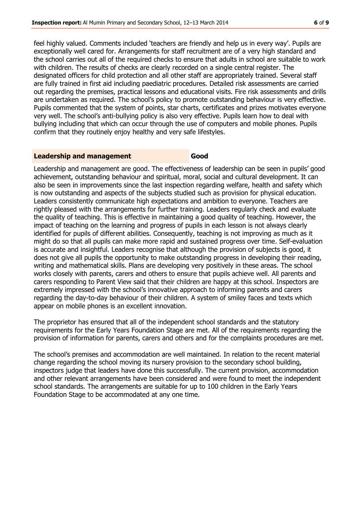feel highly valued. Comments included 'teachers are friendly and help us in every way'. Pupils are exceptionally well cared for. Arrangements for staff recruitment are of a very high standard and the school carries out all of the required checks to ensure that adults in school are suitable to work with children. The results of checks are clearly recorded on a single central register. The designated officers for child protection and all other staff are appropriately trained. Several staff are fully trained in first aid including paediatric procedures. Detailed risk assessments are carried out regarding the premises, practical lessons and educational visits. Fire risk assessments and drills are undertaken as required. The school's policy to promote outstanding behaviour is very effective. Pupils commented that the system of points, star charts, certificates and prizes motivates everyone very well. The school's anti-bullying policy is also very effective. Pupils learn how to deal with bullying including that which can occur through the use of computers and mobile phones. Pupils confirm that they routinely enjoy healthy and very safe lifestyles.

#### **Leadership and management Good**

Leadership and management are good. The effectiveness of leadership can be seen in pupils' good achievement, outstanding behaviour and spiritual, moral, social and cultural development. It can also be seen in improvements since the last inspection regarding welfare, health and safety which is now outstanding and aspects of the subjects studied such as provision for physical education. Leaders consistently communicate high expectations and ambition to everyone. Teachers are rightly pleased with the arrangements for further training. Leaders regularly check and evaluate the quality of teaching. This is effective in maintaining a good quality of teaching. However, the impact of teaching on the learning and progress of pupils in each lesson is not always clearly identified for pupils of different abilities. Consequently, teaching is not improving as much as it might do so that all pupils can make more rapid and sustained progress over time. Self-evaluation is accurate and insightful. Leaders recognise that although the provision of subjects is good, it does not give all pupils the opportunity to make outstanding progress in developing their reading, writing and mathematical skills. Plans are developing very positively in these areas. The school works closely with parents, carers and others to ensure that pupils achieve well. All parents and carers responding to Parent View said that their children are happy at this school. Inspectors are extremely impressed with the school's innovative approach to informing parents and carers regarding the day-to-day behaviour of their children. A system of smiley faces and texts which appear on mobile phones is an excellent innovation.

The proprietor has ensured that all of the independent school standards and the statutory requirements for the Early Years Foundation Stage are met. All of the requirements regarding the provision of information for parents, carers and others and for the complaints procedures are met.

The school's premises and accommodation are well maintained. In relation to the recent material change regarding the school moving its nursery provision to the secondary school building, inspectors judge that leaders have done this successfully. The current provision, accommodation and other relevant arrangements have been considered and were found to meet the independent school standards. The arrangements are suitable for up to 100 children in the Early Years Foundation Stage to be accommodated at any one time.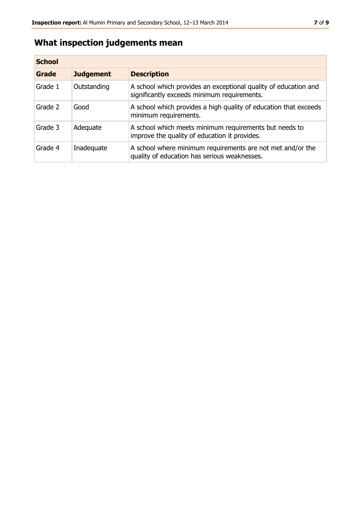# **What inspection judgements mean**

| <b>School</b> |                  |                                                                                                                |
|---------------|------------------|----------------------------------------------------------------------------------------------------------------|
| Grade         | <b>Judgement</b> | <b>Description</b>                                                                                             |
| Grade 1       | Outstanding      | A school which provides an exceptional quality of education and<br>significantly exceeds minimum requirements. |
| Grade 2       | Good             | A school which provides a high quality of education that exceeds<br>minimum requirements.                      |
| Grade 3       | Adequate         | A school which meets minimum requirements but needs to<br>improve the quality of education it provides.        |
| Grade 4       | Inadequate       | A school where minimum requirements are not met and/or the<br>quality of education has serious weaknesses.     |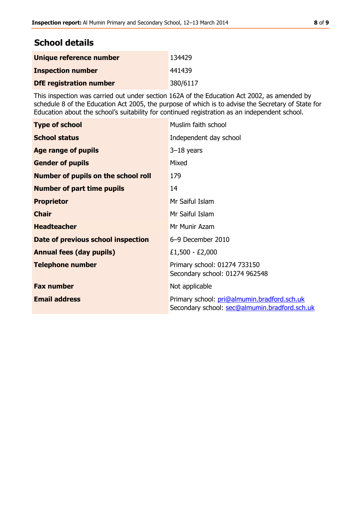# **School details**

| Unique reference number        | 134429   |
|--------------------------------|----------|
| <b>Inspection number</b>       | 441439   |
| <b>DfE registration number</b> | 380/6117 |

This inspection was carried out under section 162A of the Education Act 2002, as amended by schedule 8 of the Education Act 2005, the purpose of which is to advise the Secretary of State for Education about the school's suitability for continued registration as an independent school.

| <b>Type of school</b>                      | Muslim faith school                                                                          |
|--------------------------------------------|----------------------------------------------------------------------------------------------|
| <b>School status</b>                       | Independent day school                                                                       |
| <b>Age range of pupils</b>                 | $3-18$ years                                                                                 |
| <b>Gender of pupils</b>                    | Mixed                                                                                        |
| <b>Number of pupils on the school roll</b> | 179                                                                                          |
| <b>Number of part time pupils</b>          | 14                                                                                           |
| <b>Proprietor</b>                          | Mr Saiful Islam                                                                              |
| <b>Chair</b>                               | Mr Saiful Islam                                                                              |
| <b>Headteacher</b>                         | Mr Munir Azam                                                                                |
| Date of previous school inspection         | 6-9 December 2010                                                                            |
| <b>Annual fees (day pupils)</b>            | £1,500 - £2,000                                                                              |
| <b>Telephone number</b>                    | Primary school: 01274 733150<br>Secondary school: 01274 962548                               |
| <b>Fax number</b>                          | Not applicable                                                                               |
| <b>Email address</b>                       | Primary school: pri@almumin.bradford.sch.uk<br>Secondary school: sec@almumin.bradford.sch.uk |